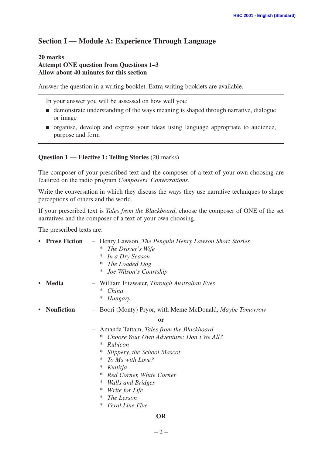# **Section I — Module A: Experience Through Language**

#### **20 marks Attempt ONE question from Questions 1–3 Allow about 40 minutes for this section**

Answer the question in a writing booklet. Extra writing booklets are available.

In your answer you will be assessed on how well you:

- demonstrate understanding of the ways meaning is shaped through narrative, dialogue or image
- organise, develop and express your ideas using language appropriate to audience, purpose and form

#### **Question 1 — Elective 1: Telling Stories** (20 marks)

The composer of your prescribed text and the composer of a text of your own choosing are featured on the radio program *Composers' Conversations*.

Write the conversation in which they discuss the ways they use narrative techniques to shape perceptions of others and the world.

If your prescribed text is *Tales from the Blackboard*, choose the composer of ONE of the set narratives and the composer of a text of your own choosing.

The prescribed texts are:

| - Henry Lawson, The Penguin Henry Lawson Short Stories<br>The Drover's Wife<br>∗<br>In a Dry Season<br>∗<br>The Loaded Dog<br>∗<br>Joe Wilson's Courtship<br>∗                                                                                                                        |
|---------------------------------------------------------------------------------------------------------------------------------------------------------------------------------------------------------------------------------------------------------------------------------------|
| - William Fitzwater, Through Australian Eyes<br>∗<br>China<br>∗<br>Hungary                                                                                                                                                                                                            |
| - Boori (Monty) Pryor, with Meme McDonald, <i>Maybe Tomorrow</i>                                                                                                                                                                                                                      |
| <sub>or</sub>                                                                                                                                                                                                                                                                         |
| Amanda Tattam, Tales from the Blackboard<br>$\overline{\phantom{m}}$<br>Choose Your Own Adventure: Don't We All?<br>∗<br>Rubicon<br>∗<br>∗<br>Slippery, the School Mascot<br>To Ms with Love?<br>∗<br>∗<br>Kultitja<br>Red Corner, White Corner<br>∗<br>∗<br><b>Walls and Bridges</b> |
|                                                                                                                                                                                                                                                                                       |

#### **OR**